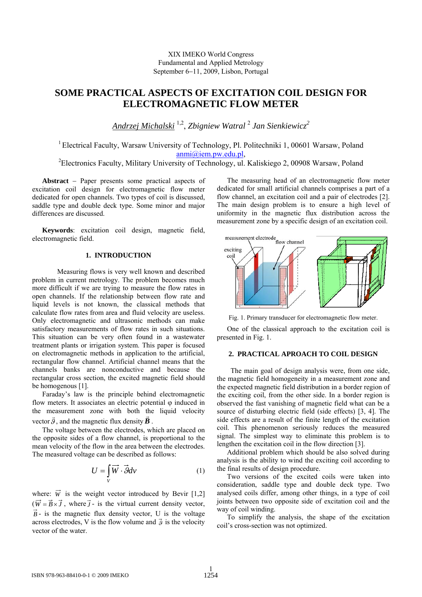XIX IMEKO World Congress Fundamental and Applied Metrology September 6−11, 2009, Lisbon, Portugal

# **SOME PRACTICAL ASPECTS OF EXCITATION COIL DESIGN FOR ELECTROMAGNETIC FLOW METER**

*Andrzej Michalski* 1,2, *Zbigniew Watral* <sup>2</sup> *Jan Sienkiewicz2* 

<sup>1</sup> Electrical Faculty, Warsaw University of Technology, Pl. Politechniki 1, 00601 Warsaw, Poland [anmi@iem.pw.edu.pl,](mailto:anmi@iem.pw.edu.pl)<br><sup>2</sup> Electronics Faculty, Military University of Technology, ul. Kaliskiego 2, 00908 Warsaw, Poland<sup>2</sup>

**Abstract** − Paper presents some practical aspects of excitation coil design for electromagnetic flow meter dedicated for open channels. Two types of coil is discussed, saddle type and double deck type. Some minor and major differences are discussed.

**Keywords**: excitation coil design, magnetic field, electromagnetic field.

## **1. INTRODUCTION**

Measuring flows is very well known and described problem in current metrology. The problem becomes much more difficult if we are trying to measure the flow rates in open channels. If the relationship between flow rate and liquid levels is not known, the classical methods that calculate flow rates from area and fluid velocity are useless. Only electromagnetic and ultrasonic methods can make satisfactory measurements of flow rates in such situations. This situation can be very often found in a wastewater treatment plants or irrigation system. This paper is focused on electromagnetic methods in application to the artificial, rectangular flow channel. Artificial channel means that the channels banks are nonconductive and because the rectangular cross section, the excited magnetic field should be homogenous [1].

Faraday's law is the principle behind electromagnetic flow meters. It associates an electric potential  $\varphi$  induced in the measurement zone with both the liquid velocity vector  $\vec{g}$ , and the magnetic flux density  $\vec{B}$ .

The voltage between the electrodes, which are placed on the opposite sides of a flow channel, is proportional to the mean velocity of the flow in the area between the electrodes. The measured voltage can be described as follows:

$$
U = \int\limits_V \overrightarrow{W} \cdot \overrightarrow{g} dv \tag{1}
$$

where:  $\vec{w}$  is the weight vector introduced by Bevir [1,2]  $(\vec{W} = \vec{B} \times \vec{J}$ , where  $\vec{J}$ - is the virtual current density vector,  $\vec{B}$  - is the magnetic flux density vector. U is the voltage across electrodes, V is the flow volume and  $\vec{g}$  is the velocity vector of the water.

The measuring head of an electromagnetic flow meter dedicated for small artificial channels comprises a part of a flow channel, an excitation coil and a pair of electrodes [2]. The main design problem is to ensure a high level of uniformity in the magnetic flux distribution across the measurement zone by a specific design of an excitation coil.



Fig. 1. Primary transducer for electromagnetic flow meter.

One of the classical approach to the excitation coil is presented in Fig. 1.

## **2. PRACTICAL APROACH TO COIL DESIGN**

 The main goal of design analysis were, from one side, the magnetic field homogeneity in a measurement zone and the expected magnetic field distribution in a border region of the exciting coil, from the other side. In a border region is observed the fast vanishing of magnetic field what can be a source of disturbing electric field (side effects) [3, 4]. The side effects are a result of the finite length of the excitation coil. This phenomenon seriously reduces the measured signal. The simplest way to eliminate this problem is to lengthen the excitation coil in the flow direction [3].

Additional problem which should be also solved during analysis is the ability to wind the exciting coil according to the final results of design procedure.

Two versions of the excited coils were taken into consideration, saddle type and double deck type. Two analysed coils differ, among other things, in a type of coil joints between two opposite side of excitation coil and the way of coil winding.

To simplify the analysis, the shape of the excitation coil's cross-section was not optimized.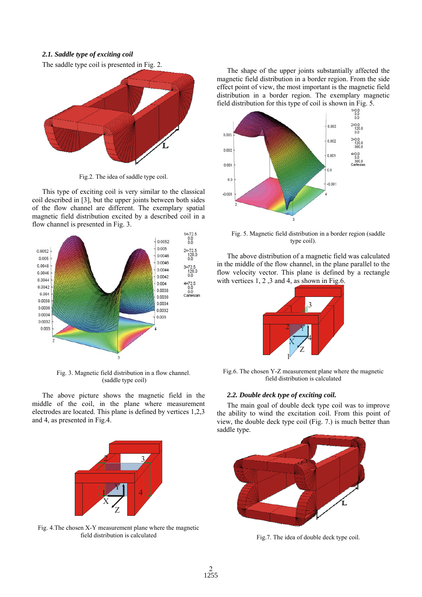#### *2.1. Saddle type of exciting coil*

The saddle type coil is presented in Fig. 2.



Fig.2. The idea of saddle type coil.

This type of exciting coil is very similar to the classical coil described in [3], but the upper joints between both sides of the flow channel are different. The exemplary spatial magnetic field distribution excited by a described coil in a flow channel is presented in Fig. 3.



Fig. 3. Magnetic field distribution in a flow channel. (saddle type coil)

The above picture shows the magnetic field in the middle of the coil, in the plane where measurement electrodes are located. This plane is defined by vertices 1,2,3 and 4, as presented in Fig.4.



Fig. 4.The chosen X-Y measurement plane where the magnetic field distribution is calculated

The shape of the upper joints substantially affected the magnetic field distribution in a border region. From the side effect point of view, the most important is the magnetic field distribution in a border region. The exemplary magnetic



Fig. 5. Magnetic field distribution in a border region (saddle type coil).

The above distribution of a magnetic field was calculated in the middle of the flow channel, in the plane parallel to the flow velocity vector. This plane is defined by a rectangle with vertices 1, 2, 3 and 4, as shown in Fig.6.



Fig.6. The chosen Y-Z measurement plane where the magnetic field distribution is calculated

#### *2.2. Double deck type of exciting coil.*

The main goal of double deck type coil was to improve the ability to wind the excitation coil. From this point of view, the double deck type coil (Fig. 7.) is much better than saddle type.



Fig.7. The idea of double deck type coil.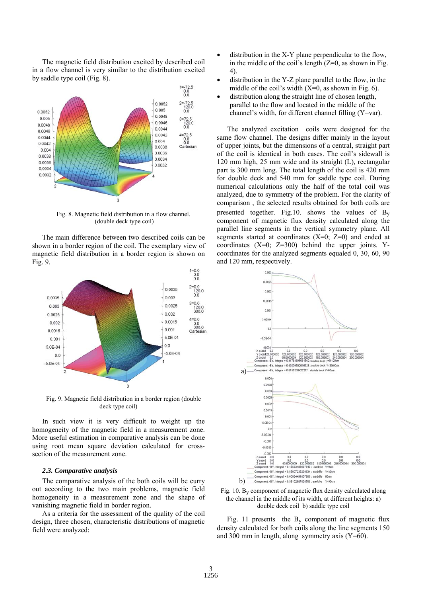The magnetic field distribution excited by described coil in a flow channel is very similar to the distribution excited by saddle type coil (Fig. 8).



Fig. 8. Magnetic field distribution in a flow channel. (double deck type coil)

The main difference between two described coils can be shown in a border region of the coil. The exemplary view of magnetic field distribution in a border region is shown on Fig. 9.



Fig. 9. Magnetic field distribution in a border region (double deck type coil)

In such view it is very difficult to weight up the homogeneity of the magnetic field in a measurement zone. More useful estimation in comparative analysis can be done using root mean square deviation calculated for crosssection of the measurement zone.

#### *2.3. Comparative analysis*

The comparative analysis of the both coils will be curry out according to the two main problems, magnetic field homogeneity in a measurement zone and the shape of vanishing magnetic field in border region.

As a criteria for the assessment of the quality of the coil design, three chosen, characteristic distributions of magnetic field were analyzed:

- distribution in the X-Y plane perpendicular to the flow, in the middle of the coil's length  $(Z=0)$ , as shown in Fig. 4).
- distribution in the Y-Z plane parallel to the flow, in the middle of the coil's width  $(X=0)$ , as shown in Fig. 6).
- distribution along the straight line of chosen length, parallel to the flow and located in the middle of the channel's width, for different channel filling (Y=var).

The analyzed excitation coils were designed for the same flow channel. The designs differ mainly in the layout of upper joints, but the dimensions of a central, straight part of the coil is identical in both cases. The coil's sidewall is 120 mm high, 25 mm wide and its straight (L), rectangular part is 300 mm long. The total length of the coil is 420 mm for double deck and 540 mm for saddle type coil. During numerical calculations only the half of the total coil was analyzed, due to symmetry of the problem. For the clarity of comparison , the selected results obtained for both coils are presented together. Fig.10. shows the values of  $B_y$ component of magnetic flux density calculated along the parallel line segments in the vertical symmetry plane. All segments started at coordinates  $(X=0; Z=0)$  and ended at coordinates  $(X=0; Z=300)$  behind the upper joints. Ycoordinates for the analyzed segments equaled 0, 30, 60, 90 and 120 mm, respectively.





Fig. 11 presents the  $B_v$  component of magnetic flux density calculated for both coils along the line segments 150 and 300 mm in length, along symmetry axis  $(Y=60)$ .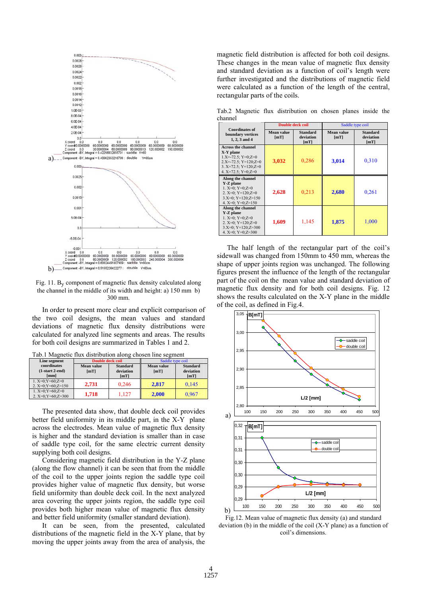

Fig. 11. By component of magnetic flux density calculated along the channel in the middle of its width and height: a) 150 mm b) 300 mm.

In order to present more clear and explicit comparison of the two coil designs, the mean values and standard deviations of magnetic flux density distributions were calculated for analyzed line segments and areas. The results for both coil designs are summarized in Tables 1 and 2.

| Line segment          | <b>Double deck coil</b> |                 | Saddle type coil  |                 |
|-----------------------|-------------------------|-----------------|-------------------|-----------------|
| coordinates           | Mean value              | <b>Standard</b> | <b>Mean value</b> | <b>Standard</b> |
| $(1-start 2-end)$     | [mT]                    | deviation       | [mT]              | deviation       |
| [mm]                  |                         | [mT]            |                   | [mT]            |
| 1. $X=0; Y=60; Z=0$   |                         |                 |                   |                 |
| 2. $X=0; Y=60; Z=150$ | 2.731                   | 0.246           | 2.817             | 0.145           |
| 1. $X=0; Y=60; Z=0$   |                         |                 |                   |                 |
| 2. $X=0; Y=60; Z=300$ | 1.718                   | 1.127           | 2.000             | 0,967           |

Tab.1 Magnetic flux distribution along chosen line segment

The presented data show, that double deck coil provides better field uniformity in its middle part, in the X-Y plane across the electrodes. Mean value of magnetic flux density is higher and the standard deviation is smaller than in case of saddle type coil, for the same electric current density supplying both coil designs.

Considering magnetic field distribution in the Y-Z plane (along the flow channel) it can be seen that from the middle of the coil to the upper joints region the saddle type coil provides higher value of magnetic flux density, but worse field uniformity than double deck coil. In the next analyzed area covering the upper joints region, the saddle type coil provides both higher mean value of magnetic flux density and better field uniformity (smaller standard deviation).

It can be seen, from the presented, calculated distributions of the magnetic field in the X-Y plane, that by moving the upper joints away from the area of analysis, the magnetic field distribution is affected for both coil designs. These changes in the mean value of magnetic flux density and standard deviation as a function of coil's length were further investigated and the distributions of magnetic field were calculated as a function of the length of the central, rectangular parts of the coils.

Tab.2 Magnetic flux distribution on chosen planes inside the channel

| <b>Coordinates of</b><br>boundary vertices<br>1, 2, 3 and 4                                                                                                        | <b>Double deck coil</b> |                                      | Saddle type coil   |                                      |
|--------------------------------------------------------------------------------------------------------------------------------------------------------------------|-------------------------|--------------------------------------|--------------------|--------------------------------------|
|                                                                                                                                                                    | Mean value<br>[mT]      | <b>Standard</b><br>deviation<br>[mT] | Mean value<br>[mT] | <b>Standard</b><br>deviation<br>[mT] |
| <b>Across the channel</b><br>X-Y plane<br>$1.X=-72.5$ : $Y=0.Z=0$<br>$2.X=-72.5$ ; $Y=120$ ; $Z=0$<br>3. $X=72.5$ ; $Y=120$ ; $Z=0$<br>4. $X=72.5$ ; $Y=0$ ; $Z=0$ | 3,032                   | 0,286                                | 3,014              | 0,310                                |
| Along the channel<br>Y-Z plane<br>1. $X=0$ ; $Y=0$ ; $Z=0$<br>2. $X=0$ : $Y=120$ : $Z=0$<br>$3.X=0$ ; $Y=120$ ; $Z=150$<br>4. $X=0$ : $Y=0$ : $Z=150$              | 2,628                   | 0.213                                | 2,680              | 0.261                                |
| Along the channel<br>Y-Z plane<br>1. $X=0$ ; $Y=0$ ; $Z=0$<br>2. $X=0$ ; $Y=120$ ; $Z=0$<br>$3.X=0$ ; $Y=120$ ; $Z=300$<br>4. $X=0$ : $Y=0$ : $Z=300$              | 1,609                   | 1,145                                | 1,875              | 1,000                                |

The half length of the rectangular part of the coil's sidewall was changed from 150mm to 450 mm, whereas the shape of upper joints region was unchanged. The following figures present the influence of the length of the rectangular part of the coil on the mean value and standard deviation of magnetic flux density and for both coil designs. Fig. 12 shows the results calculated on the X-Y plane in the middle of the coil, as defined in Fig.4.



Fig.12. Mean value of magnetic flux density (a) and standard deviation (b) in the middle of the coil (X-Y plane) as a function of coil's dimensions.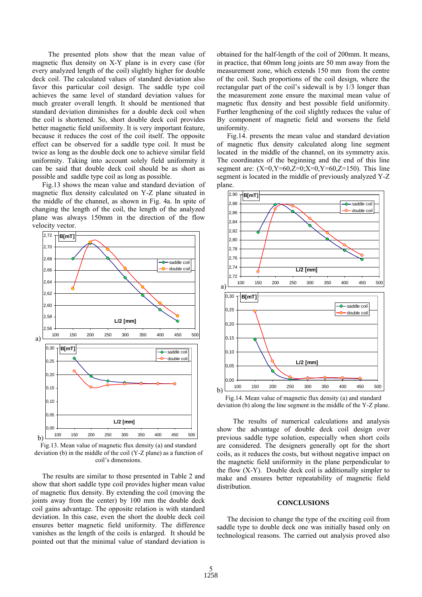The presented plots show that the mean value of magnetic flux density on X-Y plane is in every case (for every analyzed length of the coil) slightly higher for double deck coil. The calculated values of standard deviation also favor this particular coil design. The saddle type coil achieves the same level of standard deviation values for much greater overall length. It should be mentioned that standard deviation diminishes for a double deck coil when the coil is shortened. So, short double deck coil provides better magnetic field uniformity. It is very important feature, because it reduces the cost of the coil itself. The opposite effect can be observed for a saddle type coil. It must be twice as long as the double deck one to achieve similar field uniformity. Taking into account solely field uniformity it can be said that double deck coil should be as short as possible and saddle type coil as long as possible.

Fig.13 shows the mean value and standard deviation of magnetic flux density calculated on Y-Z plane situated in the middle of the channel, as shown in Fig. 4a. In spite of changing the length of the coil, the length of the analyzed plane was always 150mm in the direction of the flow velocity vector.



Fig.13. Mean value of magnetic flux density (a) and standard deviation (b) in the middle of the coil (Y-Z plane) as a function of coil's dimensions.

The results are similar to those presented in Table 2 and show that short saddle type coil provides higher mean value of magnetic flux density. By extending the coil (moving the joints away from the center) by 100 mm the double deck coil gains advantage. The opposite relation is with standard deviation. In this case, even the short the double deck coil ensures better magnetic field uniformity. The difference vanishes as the length of the coils is enlarged. It should be pointed out that the minimal value of standard deviation is obtained for the half-length of the coil of 200mm. It means, in practice, that 60mm long joints are 50 mm away from the measurement zone, which extends 150 mm from the centre of the coil. Such proportions of the coil design, where the rectangular part of the coil's sidewall is by 1/3 longer than the measurement zone ensure the maximal mean value of magnetic flux density and best possible field uniformity. Further lengthening of the coil slightly reduces the value of By component of magnetic field and worsens the field uniformity.

Fig.14. presents the mean value and standard deviation of magnetic flux density calculated along line segment located in the middle of the channel, on its symmetry axis. The coordinates of the beginning and the end of this line segment are:  $(X=0, Y=60, Z=0; X=0, Y=60, Z=150)$ . This line segment is located in the middle of previously analyzed Y-Z plane.



Fig.14. Mean value of magnetic flux density (a) and standard deviation (b) along the line segment in the middle of the Y-Z plane.

The results of numerical calculations and analysis show the advantage of double deck coil design over previous saddle type solution, especially when short coils are considered. The designers generally opt for the short coils, as it reduces the costs, but without negative impact on the magnetic field uniformity in the plane perpendicular to the flow (X-Y). Double deck coil is additionally simpler to make and ensures better repeatability of magnetic field distribution.

#### **CONCLUSIONS**

The decision to change the type of the exciting coil from saddle type to double deck one was initially based only on technological reasons. The carried out analysis proved also